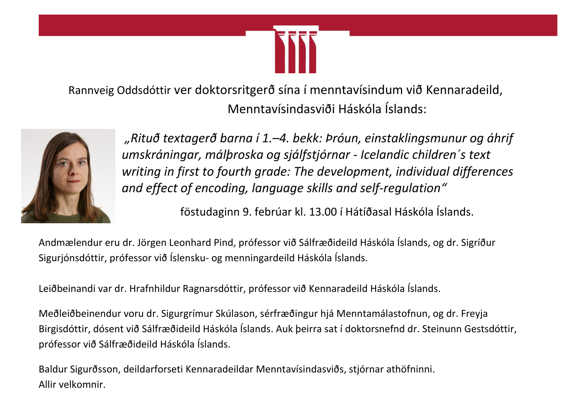

Rannveig Oddsdóttir ver doktorsritgerð sína í menntavísindum við Kennaradeild, Menntavísindasviði Háskóla Íslands:



*"Rituð textagerð barna í 1.–4. bekk: Þróun, einstaklingsmunur og áhrif umskráningar, málþroska og sjálfstjórnar - Icelandic children´s text writing in first to fourth grade: The development, individual differences and effect of encoding, language skills and self-regulation"*

föstudaginn 9. febrúar kl. 13.00 í Hátíðasal Háskóla Íslands.

Andmælendur eru dr. Jörgen Leonhard Pind, prófessor við Sálfræðideild Háskóla Íslands, og dr. Sigríður Sigurjónsdóttir, prófessor við Íslensku- og menningardeild Háskóla Íslands.

Leiðbeinandi var dr. Hrafnhildur Ragnarsdóttir, prófessor við Kennaradeild Háskóla Íslands.

Meðleiðbeinendur voru dr. Sigurgrímur Skúlason, sérfræðingur hjá Menntamálastofnun, og dr. Freyja Birgisdóttir, dósent við Sálfræðideild Háskóla Íslands. Auk þeirra sat í doktorsnefnd dr. Steinunn Gestsdóttir, prófessor við Sálfræðideild Háskóla Íslands.

Baldur Sigurðsson, deildarforseti Kennaradeildar Menntavísindasviðs, stjórnar athöfninni. Allir velkomnir.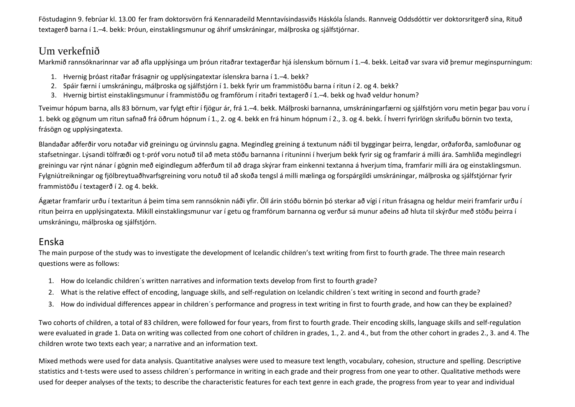Föstudaginn 9. febrúar kl. 13.00 fer fram doktorsvörn frá Kennaradeild Menntavísindasviðs Háskóla Íslands. Rannveig Oddsdóttir ver doktorsritgerð sína, Rituð textagerð barna í 1.–4. bekk: Þróun, einstaklingsmunur og áhrif umskráningar, málþroska og sjálfstjórnar.

## Um verkefnið

Markmið rannsóknarinnar var að afla upplýsinga um þróun ritaðrar textagerðar hjá íslenskum börnum í 1.–4. bekk. Leitað var svara við þremur meginspurningum:

- 1. Hvernig þróast ritaðar frásagnir og upplýsingatextar íslenskra barna í 1.–4. bekk?
- 2. Spáir færni í umskráningu, málþroska og sjálfstjórn í 1. bekk fyrir um frammistöðu barna í ritun í 2. og 4. bekk?
- 3. Hvernig birtist einstaklingsmunur í frammistöðu og framförum í ritaðri textagerð í 1.–4. bekk og hvað veldur honum?

Tveimur hópum barna, alls 83 börnum, var fylgt eftir í fjögur ár, frá 1.–4. bekk. Málþroski barnanna, umskráningarfærni og sjálfstjórn voru metin þegar þau voru í 1. bekk og gögnum um ritun safnað frá öðrum hópnum í 1., 2. og 4. bekk en frá hinum hópnum í 2., 3. og 4. bekk. Í hverri fyrirlögn skrifuðu börnin tvo texta, frásögn og upplýsingatexta.

Blandaðar aðferðir voru notaðar við greiningu og úrvinnslu gagna. Megindleg greining á textunum náði til byggingar þeirra, lengdar, orðaforða, samloðunar og stafsetningar. Lýsandi tölfræði og t-próf voru notuð til að meta stöðu barnanna í rituninni í hverjum bekk fyrir sig og framfarir á milli ára. Samhliða megindlegri greiningu var rýnt nánar í gögnin með eigindlegum aðferðum til að draga skýrar fram einkenni textanna á hverjum tíma, framfarir milli ára og einstaklingsmun. Fylgniútreikningar og fjölbreytuaðhvarfsgreining voru notuð til að skoða tengsl á milli mælinga og forspárgildi umskráningar, málþroska og sjálfstjórnar fyrir frammistöðu í textagerð í 2. og 4. bekk.

Ágætar framfarir urðu í textaritun á þeim tíma sem rannsóknin náði yfir. Öll árin stóðu börnin þó sterkar að vígi í ritun frásagna og heldur meiri framfarir urðu í ritun þeirra en upplýsingatexta. Mikill einstaklingsmunur var í getu og framförum barnanna og verður sá munur aðeins að hluta til skýrður með stöðu þeirra í umskráningu, málþroska og sjálfstjórn.

## Enska

The main purpose of the study was to investigate the development of Icelandic children's text writing from first to fourth grade. The three main research questions were as follows:

- 1. How do Icelandic children´s written narratives and information texts develop from first to fourth grade?
- 2. What is the relative effect of encoding, language skills, and self-regulation on Icelandic children´s text writing in second and fourth grade?
- 3. How do individual differences appear in children´s performance and progress in text writing in first to fourth grade, and how can they be explained?

Two cohorts of children, a total of 83 children, were followed for four years, from first to fourth grade. Their encoding skills, language skills and self-regulation were evaluated in grade 1. Data on writing was collected from one cohort of children in grades, 1., 2. and 4., but from the other cohort in grades 2., 3. and 4. The children wrote two texts each year; a narrative and an information text.

Mixed methods were used for data analysis. Quantitative analyses were used to measure text length, vocabulary, cohesion, structure and spelling. Descriptive statistics and t-tests were used to assess children´s performance in writing in each grade and their progress from one year to other. Qualitative methods were used for deeper analyses of the texts; to describe the characteristic features for each text genre in each grade, the progress from year to year and individual